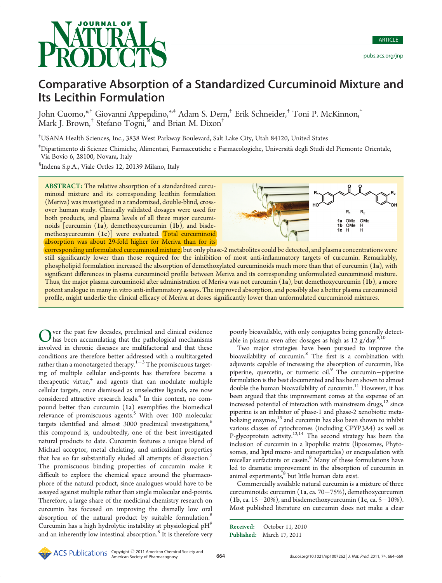# **OURNAL OF**

## Comparative Absorption of a Standardized Curcuminoid Mixture and Its Lecithin Formulation

John Cuomo,\*,† Giovanni Appendino,\*,‡ Adam S. Dern,† Erik Schneider,† Toni P. McKinnon,† Mark J. Brown,† Stefano Togni,§ and Brian M. Dixon†

† USANA Health Sciences, Inc., 3838 West Parkway Boulevard, Salt Lake City, Utah 84120, United States

‡ Dipartimento di Scienze Chimiche, Alimentari, Farmaceutiche e Farmacologiche, Universita degli Studi del Piemonte Orientale, Via Bovio 6, 28100, Novara, Italy

§ Indena S.p.A., Viale Ortles 12, 20139 Milano, Italy

ABSTRACT: The relative absorption of a standardized curcuminoid mixture and its corresponding lecithin formulation (Meriva) was investigated in a randomized, double-blind, crossover human study. Clinically validated dosages were used for both products, and plasma levels of all three major curcuminoids [curcumin (1a), demethoxycurcumin (1b), and bisdemethoxycurcumin (1c)] were evaluated. Total curcuminoid absorption was about 29-fold higher for Meriva than for its



corresponding unformulated curcuminoid mixture, but only phase-2 metabolites could be detected, and plasma concentrations were still significantly lower than those required for the inhibition of most anti-inflammatory targets of curcumin. Remarkably, phospholipid formulation increased the absorption of demethoxylated curcuminoids much more than that of curcumin (1a), with significant differences in plasma curcuminoid profile between Meriva and its corresponding unformulated curcuminoid mixture. Thus, the major plasma curcuminoid after administration of Meriva was not curcumin (1a), but demethoxycurcumin (1b), a more potent analogue in many in vitro anti-inflammatory assays. The improved absorption, and possibly also a better plasma curcuminoid profile, might underlie the clinical efficacy of Meriva at doses significantly lower than unformulated curcuminoid mixtures.

Over the past few decades, preclinical and clinical evidence<br>has been accumulating that the pathological mechanisms<br>involved in changin discusses are multifactable and that these involved in chronic diseases are multifactorial and that these conditions are therefore better addressed with a multitargeted rather than a monotargeted therapy. $1-3$  The promiscuous targeting of multiple cellular end-points has therefore become a therapeutic virtue, $4$  and agents that can modulate multiple cellular targets, once dismissed as unselective ligands, are now considered attractive research leads.<sup>4</sup> In this context, no compound better than curcumin (1a) exemplifies the biomedical relevance of promiscuous agents.<sup>5</sup> With over 100 molecular targets identified and almost 3000 preclinical investigations,<sup>6</sup> this compound is, undoubtedly, one of the best investigated natural products to date. Curcumin features a unique blend of Michael acceptor, metal chelating, and antioxidant properties that has so far substantially eluded all attempts of dissection.<sup>7</sup> The promiscuous binding properties of curcumin make it difficult to explore the chemical space around the pharmacophore of the natural product, since analogues would have to be assayed against multiple rather than single molecular end-points. Therefore, a large share of the medicinal chemistry research on curcumin has focused on improving the dismally low oral absorption of the natural product by suitable formulation.<sup>8</sup> Curcumin has a high hydrolytic instability at physiological  $pH<sup>9</sup>$ and an inherently low intestinal absorption.<sup>8</sup> It is therefore very

poorly bioavailable, with only conjugates being generally detectable in plasma even after dosages as high as  $12 \text{ g/day}^{8,10}$ .

Two major strategies have been pursued to improve the bioavailability of curcumin.<sup>8</sup> The first is a combination with adjuvants capable of increasing the absorption of curcumin, like piperine, quercetin, or turmeric oil. $9$  The curcumin-piperine formulation is the best documented and has been shown to almost double the human bioavailability of curcumin.<sup>11</sup> However, it has been argued that this improvement comes at the expense of an increased potential of interaction with mainstream drugs, $12$  since piperine is an inhibitor of phase-1 and phase-2 xenobiotic metabolizing enzymes,<sup>13</sup> and curcumin has also been shown to inhibit various classes of cytochromes (including CPYP3A4) as well as P-glycoprotein activity.<sup>12,14</sup> The second strategy has been the inclusion of curcumin in a lipophilic matrix (liposomes, Phytosomes, and lipid micro- and nanoparticles) or encapsulation with micellar surfactants or casein.<sup>8</sup> Many of these formulations have led to dramatic improvement in the absorption of curcumin in animal experiments,<sup>8</sup> but little human data exist.

Commercially available natural curcumin is a mixture of three curcuminoids: curcumin  $(1a, ca. 70-75%)$ , demethoxycurcumin (1b, ca. 15–20%), and bisdemethoxycurcumin (1c, ca. 5–10%). Most published literature on curcumin does not make a clear

Published: March 17, 2011 Received: October 11, 2010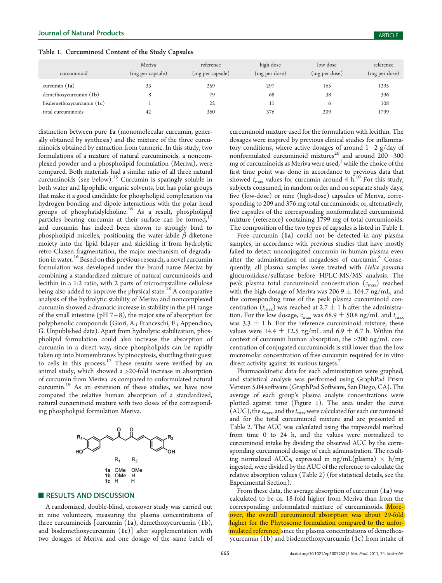distinction between pure 1a (monomolecular curcumin, gener-

| curcuminoid                 | Meriva<br>(mg per capsule) | reference<br>(mg per capsule) | high dose<br>(mg per dose) | low dose<br>(mg per dose) | reference<br>(mg per dose) |
|-----------------------------|----------------------------|-------------------------------|----------------------------|---------------------------|----------------------------|
|                             |                            |                               |                            |                           |                            |
| curcumin $(1a)$             | 33                         | 259                           | 297                        | 165                       | 1295                       |
| $d$ emethoxycurcumin $(1b)$ | 8                          | 79                            | 68                         | 38                        | 396                        |
| bisdemethoxycurcumin $(1c)$ |                            | 22                            |                            | 6                         | 108                        |
| total curcuminoids          | 42                         | 360                           | 376                        | 209                       | 1799                       |

ally obtained by synthesis) and the mixture of the three curcuminoids obtained by extraction from turmeric. In this study, two formulations of a mixture of natural curcuminoids, a noncomplexed powder and a phospholipid formulation (Meriva), were compared. Both materials had a similar ratio of all three natural curcuminoids (see below).<sup>15</sup> Curcumin is sparingly soluble in both water and lipophilic organic solvents, but has polar groups that make it a good candidate for phospholipid complexation via hydrogen bonding and dipole interactions with the polar head groups of phosphatidylcholine.<sup>16</sup> As a result, phospholipid particles bearing curcumin at their surface can be formed, $17$ and curcumin has indeed been shown to strongly bind to phospholipid micelles, positioning the water-labile  $\beta$ -diketone moiety into the lipid bilayer and shielding it from hydrolytic retro-Claisen fragmentation, the major mechanism of degradation in water.16 Based on this previous research, a novel curcumin formulation was developed under the brand name Meriva by combining a standardized mixture of natural curcuminoids and lecithin in a 1:2 ratio, with 2 parts of microcrystalline cellulose being also added to improve the physical state.<sup>18</sup> A comparative analysis of the hydrolytic stability of Meriva and noncomplexed curcumin showed a dramatic increase in stability in the pH range of the small intestine (pH  $7-8$ ), the major site of absorption for polyphenolic compounds (Giori, A.; Franceschi, F.; Appendino, G. Unpublished data). Apart from hydrolytic stabilization, phospholipid formulation could also increase the absorption of curcumin in a direct way, since phospholipids can be rapidly taken up into biomembranes by pinocytosis, shuttling their guest to cells in this process.<sup>17</sup> These results were verified by an animal study, which showed a >20-fold increase in absorption of curcumin from Meriva as compared to unformulated natural curcumin.19 As an extension of these studies, we have now compared the relative human absorption of a standardized, natural curcuminoid mixture with two doses of the corresponding phospholipid formulation Meriva.



#### **RESULTS AND DISCUSSION**

A randomized, double-blind, crossover study was carried out in nine volunteers, measuring the plasma concentrations of three curcuminoids [curcumin (1a), demethoxycurcumin (1b), and bisdemethoxycurcumin  $(1c)$ ] after supplementation with two dosages of Meriva and one dosage of the same batch of curcuminoid mixture used for the formulation with lecithin. The dosages were inspired by previous clinical studies for inflammatory conditions, where active dosages of around  $1-2$  g/day of nonformulated curcuminoid mixtures<sup>20</sup> and around  $200-300$ mg of curcuminoids as Meriva were used, $1$  while the choice of the first time point was done in accordance to previous data that showed  $t_{\text{max}}$  values for curcumin around 4 h.<sup>10</sup> For this study, subjects consumed, in random order and on separate study days, five (low-dose) or nine (high-dose) capsules of Meriva, corresponding to 209 and 376 mg total curcuminoids, or, alternatively, five capsules of the corresponding nonformulated curcuminoid mixture (reference) containing 1799 mg of total curcuminoids. The composition of the two types of capsules is listed in Table 1.

Free curcumin (1a) could not be detected in any plasma samples, in accordance with previous studies that have mostly failed to detect unconjugated curcumin in human plasma even after the administration of megadoses of curcumin.<sup>8</sup> Consequently, all plasma samples were treated with Helix pomatia glucuronidase/sulfatase before HPLC-MS/MS analysis. The peak plasma total curcuminoid concentration  $(c_{\text{max}})$  reached with the high dosage of Meriva was  $206.9 \pm 164.7$  ng/mL, and the corresponding time of the peak plasma curcuminoid concentration  $(t_{\text{max}})$  was reached at 2.7  $\pm$  1 h after the administration. For the low dosage,  $\mathit{c}_{\mathrm{max}}$  was 68.9  $\pm$  50.8 ng/mL and  $\mathit{t}_{\mathrm{max}}$ was 3.3  $\pm$  1 h. For the reference curcuminoid mixture, these values were 14.4  $\pm$  12.5 ng/mL and 6.9  $\pm$  6.7 h. Within the context of curcumin human absorption, the >200 ng/mL concentration of conjugated curcuminoids is still lower than the low micromolar concentration of free curcumin required for in vitro direct activity against its various targets.<sup>7</sup>

Pharmacokinetic data for each administration were graphed, and statistical analysis was performed using GraphPad Prism Version 5.04 software (GraphPad Software, San Diego, CA). The average of each group's plasma analyte concentrations were plotted against time (Figure 1). The area under the curve (AUC), the  $c_{\text{max}}$  and the  $t_{\text{max}}$  were calculated for each curcuminoid and for the total curcuminoid mixture and are presented in Table 2. The AUC was calculated using the trapezoidal method from time 0 to 24 h, and the values were normalized to curcuminoid intake by dividing the observed AUC by the corresponding curcuminoid dosage of each administration. The resulting normalized AUCs, expressed in ng/mL(plasma)  $\times$  h/mg ingested, were divided by the AUC of the reference to calculate the relative absorption values (Table 2) (for statistical details, see the Experimental Section).

From these data, the average absorption of curcumin (1a) was calculated to be ca. 18-fold higher from Meriva than from the corresponding unformulated mixture of curcuminoids. Moreover, the overall curcuminoid absorption was about 29-fold higher for the Phytosome formulation compared to the unformulated reference, since the plasma concentrations of demethoxycurcumin (1b) and bisdemethoxycurcumin (1c) from intake of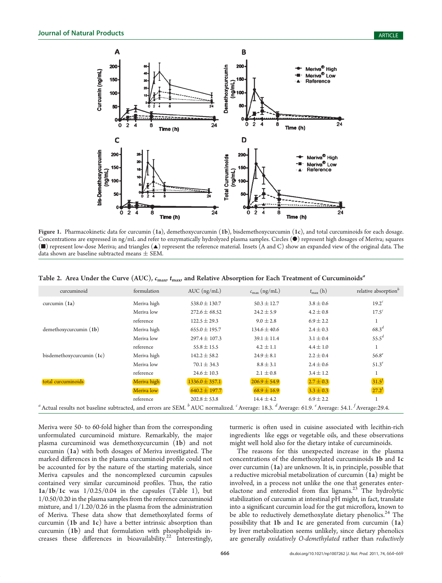

Figure 1. Pharmacokinetic data for curcumin (1a), demethoxycurcumin (1b), bisdemethoxycurcumin (1c), and total curcuminoids for each dosage. Concentrations are expressed in ng/mL and refer to enzymatically hydrolyzed plasma samples. Circles ( $\bullet$ ) represent high dosages of Meriva; squares (9) represent low-dose Meriva; and triangles (2) represent the reference material. Insets (A and C) show an expanded view of the original data. The data shown are baseline subtracted means  $\pm$  SEM.

|  |  |  |  | Table 2. Area Under the Curve (AUC), $c_{\text{max}}$ $t_{\text{max}}$ and Relative Absorption for Each Treatment of Curcuminoids <sup>a</sup> |
|--|--|--|--|------------------------------------------------------------------------------------------------------------------------------------------------|
|--|--|--|--|------------------------------------------------------------------------------------------------------------------------------------------------|

| curcuminoid                                                                                                                                                          | formulation | AUC $(ng/mL)$      | $c_{\text{max}}$ (ng/mL) | $t_{\rm max}$ (h) | relative absorption <sup>b</sup> |
|----------------------------------------------------------------------------------------------------------------------------------------------------------------------|-------------|--------------------|--------------------------|-------------------|----------------------------------|
| curcumin $(1a)$                                                                                                                                                      | Meriva high | $538.0 \pm 130.7$  | $50.3 \pm 12.7$          | $3.8 \pm 0.6$     | $19.2^c$                         |
|                                                                                                                                                                      | Meriva low  | $272.6 \pm 68.52$  | $24.2 \pm 5.9$           | $4.2 \pm 0.8$     | 17.5 <sup>c</sup>                |
|                                                                                                                                                                      | reference   | $122.5 \pm 29.3$   | $9.0 \pm 2.8$            | $6.9 \pm 2.2$     |                                  |
| $d$ emethoxycurcumin $(1b)$                                                                                                                                          | Meriva high | $655.0 \pm 195.7$  | $134.6 \pm 40.6$         | $2.4 \pm 0.3$     | $68.3^{d}$                       |
|                                                                                                                                                                      | Meriva low  | $297.4 \pm 107.3$  | $39.1 \pm 11.4$          | $3.1 \pm 0.4$     | 55.5 <sup>d</sup>                |
|                                                                                                                                                                      | reference   | $55.8 \pm 15.5$    | $4.2 \pm 1.1$            | $4.4 \pm 1.0$     | 1                                |
| bisdemethoxycurcumin $(1c)$                                                                                                                                          | Meriva high | $142.2 \pm 58.2$   | $24.9 \pm 8.1$           | $2.2 \pm 0.4$     | 56.8 <sup>e</sup>                |
|                                                                                                                                                                      | Meriva low  | $70.1 \pm 34.3$    | $8.8 \pm 3.1$            | $2.4 \pm 0.6$     | $51.3^e$                         |
|                                                                                                                                                                      | reference   | $24.6 \pm 10.3$    | $2.1 \pm 0.8$            | $3.4 \pm 1.2$     |                                  |
| total curcuminoids                                                                                                                                                   | Meriva high | $1336.0 \pm 357.1$ | $206.9 \pm 54.9$         | $2.7 \pm 0.3$     | 31.5 <sup>f</sup>                |
|                                                                                                                                                                      | Meriva low  | $640.2 \pm 197.7$  | $68.9 \pm 16.9$          | $3.3 \pm 0.3$     | $27.2^{f}$                       |
|                                                                                                                                                                      | reference   | $202.8 \pm 53.8$   | $14.4 \pm 4.2$           | $6.9 \pm 2.2$     |                                  |
| $^a$ Actual results not baseline subtracted, and errors are SEM. $^b$ AUC normalized. $^c$ Average: 18.3. $^d$ Average: 61.9. $^e$ Average: 54.1. $^f$ Average:29.4. |             |                    |                          |                   |                                  |

Meriva were 50- to 60-fold higher than from the corresponding unformulated curcuminoid mixture. Remarkably, the major plasma curcuminoid was demethoxycurcumin (1b) and not curcumin (1a) with both dosages of Meriva investigated. The marked differences in the plasma curcuminoid profile could not be accounted for by the nature of the starting materials, since Meriva capsules and the noncomplexed curcumin capsules contained very similar curcuminoid profiles. Thus, the ratio  $1a/1b/1c$  was  $1/0.25/0.04$  in the capsules (Table 1), but 1/0.50/0.20 in the plasma samples from the reference curcuminoid mixture, and 1/1.20/0.26 in the plasma from the administration of Meriva. These data show that demethoxylated forms of curcumin (1b and 1c) have a better intrinsic absorption than curcumin (1b) and that formulation with phospholipids increases these differences in bioavailability.<sup>22</sup> Interestingly,

turmeric is often used in cuisine associated with lecithin-rich ingredients like eggs or vegetable oils, and these observations might well hold also for the dietary intake of curcuminoids.

The reasons for this unexpected increase in the plasma concentrations of the demethoxylated curcuminoids 1b and 1c over curcumin (1a) are unknown. It is, in principle, possible that a reductive microbial metabolization of curcumin (1a) might be involved, in a process not unlike the one that generates enterolactone and enterodiol from flax lignans.<sup>23</sup> The hydrolytic stabilization of curcumin at intestinal pH might, in fact, translate into a significant curcumin load for the gut microflora, known to be able to reductively demethoxylate dietary phenolics.<sup>24</sup> The possibility that 1b and 1c are generated from curcumin (1a) by liver metabolization seems unlikely, since dietary phenolics are generally oxidatively O-demethylated rather than reductively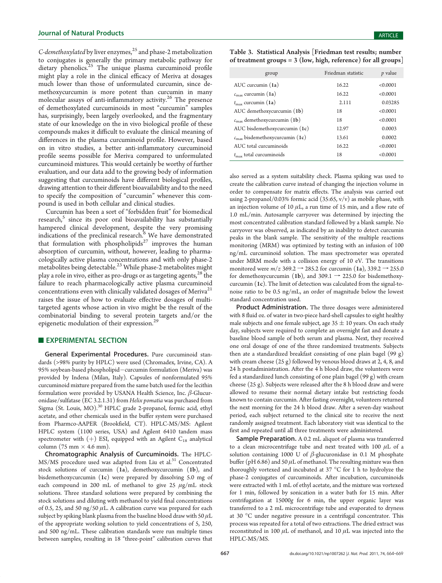C-demethoxylated by liver enzymes, $^{25}$  and phase-2 metabolization to conjugates is generally the primary metabolic pathway for dietary phenolics.<sup>25</sup> The unique plasma curcuminoid profile might play a role in the clinical efficacy of Meriva at dosages much lower than those of unformulated curcumin, since demethoxycurcumin is more potent than curcumin in many molecular assays of anti-inflammatory activity.<sup>26</sup> The presence of demethoxylated curcuminoids in most "curcumin" samples has, surprisingly, been largely overlooked, and the fragmentary state of our knowledge on the in vivo biological profile of these compounds makes it difficult to evaluate the clinical meaning of differences in the plasma curcuminoid profile. However, based on in vitro studies, a better anti-inflammatory curcuminoid profile seems possible for Meriva compared to unformulated curcuminoid mixtures. This would certainly be worthy of further evaluation, and our data add to the growing body of information suggesting that curcuminoids have different biological profiles, drawing attention to their different bioavailability and to the need to specify the composition of "curcumin" whenever this compound is used in both cellular and clinical studies.

Curcumin has been a sort of "forbidden fruit" for biomedical research, $5$  since its poor oral bioavailability has substantially hampered clinical development, despite the very promising indications of the preclinical research. $\delta$  We have demonstrated that formulation with phospholipids<sup>27</sup> improves the human absorption of curcumin, without, however, leading to pharmacologically active plasma concentrations and with only phase-2 metabolites being detectable.<sup>23</sup> While phase-2 metabolites might play a role in vivo, either as pro-drugs or as targeting agents, $28$  the failure to reach pharmacologically active plasma curcuminoid concentrations even with clinically validated dosages of Meriva<sup>21</sup> raises the issue of how to evaluate effective dosages of multitargeted agents whose action in vivo might be the result of the combinatorial binding to several protein targets and/or the epigenetic modulation of their expression.<sup>2</sup>

### **EXPERIMENTAL SECTION**

General Experimental Procedures. Pure curcuminoid standards (>98% purity by HPLC) were used (Chromadex, Irvine, CA). A 95% soybean-based phospholipid-curcumin formulation (Meriva) was provided by Indena (Milan, Italy). Capsules of nonformulated 95% curcuminoid mixture prepared from the same batch used for the lecithin formulation were provided by USANA Health Science, Inc. β-Glucuronidase/sulfatase (EC 3.2.1.31) from Helix pomatia was purchased from Sigma (St. Louis, MO).<sup>30</sup> HPLC grade 2-propanol, formic acid, ethyl acetate, and other chemicals used in the buffer system were purchased from Pharmco-AAPER (Brookfield, CT). HPLC-MS/MS: Agilent HPLC system (1100 series, USA) and Agilent 6410 tandem mass spectrometer with  $(+)$  ESI, equipped with an Agilent C<sub>18</sub> analytical column (75 mm  $\times$  4.6 mm).

Chromatographic Analysis of Curcuminoids. The HPLC-MS/MS procedure used was adapted from Liu et al.<sup>31</sup> Concentrated stock solutions of curcumin (1a), demethoxycurcumin (1b), and bisdemethoxycurcumin (1c) were prepared by dissolving 5.0 mg of each compound in 200 mL of methanol to give 25  $\mu$ g/mL stock solutions. Three standard solutions were prepared by combining the stock solutions and diluting with methanol to yield final concentrations of 0.5, 25, and 50 ng/50  $\mu$ L. A calibration curve was prepared for each subject by spiking blank plasma from the baseline blood draw with 50  $\mu$ L of the appropriate working solution to yield concentrations of 5, 250, and 500 ng/mL. These calibration standards were run multiple times between samples, resulting in 18 "three-point" calibration curves that

Table 3. Statistical Analysis [Friedman test results; number of treatment groups =  $3$  (low, high, reference) for all groups]

| group                                      | Friedman statistic | <i>p</i> value |
|--------------------------------------------|--------------------|----------------|
| AUC curcumin $(1a)$                        | 16.22              | < 0.0001       |
| $c_{\text{max}}$ curcumin (1a)             | 16.22              | < 0.0001       |
| $t_{\text{max}}$ curcumin (1a)             | 2.111              | 0.03285        |
| AUC demethoxycurcumin (1b)                 | 18                 | < 0.0001       |
| $c_{\text{max}}$ demethoxycurcumin (1b)    | 18                 | < 0.0001       |
| AUC bisdemethoxycurcumin (1c)              | 12.97              | 0.0003         |
| $c_{\text{max}}$ bisdemethoxycurcumin (1c) | 13.61              | 0.0002         |
| AUC total curcuminoids                     | 16.22              | < 0.0001       |
| $t_{\rm max}$ total curcuminoids           | 18                 | < 0.0001       |

also served as a system suitability check. Plasma spiking was used to create the calibration curve instead of changing the injection volume in order to compensate for matrix effects. The analysis was carried out using 2-propanol/0.03% formic acid  $(35:65, v/v)$  as mobile phase, with an injection volume of 10  $\mu$ L, a run time of 15 min, and a flow rate of 1.0 mL/min. Autosample carryover was determined by injecting the most concentrated calibration standard followed by a blank sample. No carryover was observed, as indicated by an inability to detect curcumin peaks in the blank sample. The sensitivity of the multiple reactions monitoring (MRM) was optimized by testing with an infusion of 100 ng/mL curcuminoid solution. The mass spectrometer was operated under MRM mode with a collision energy of 10 eV. The transitions monitored were  $m/z$  369.2  $\rightarrow$  285.2 for curcumin (1a), 339.2  $\rightarrow$  255.0 for demethoxycurcumin (1b), and 309.1  $\rightarrow$  225.0 for bisdemethoxycurcumin (1c). The limit of detection was calculated from the signal-tonoise ratio to be 0.5 ng/mL, an order of magnitude below the lowest standard concentration used.

Product Administration. The three dosages were administered with 8 fluid oz. of water in two-piece hard-shell capsules to eight healthy male subjects and one female subject, age  $35 \pm 10$  years. On each study day, subjects were required to complete an overnight fast and donate a baseline blood sample of both serum and plasma. Next, they received one oral dosage of one of the three randomized treatments. Subjects then ate a standardized breakfast consisting of one plain bagel (99 g) with cream cheese (25 g) followed by venous blood draws at 2, 4, 8, and 24 h postadministration. After the 4 h blood draw, the volunteers were fed a standardized lunch consisting of one plain bagel (99 g) with cream cheese (25 g). Subjects were released after the 8 h blood draw and were allowed to resume their normal dietary intake but restricting foods known to contain curcumin. After fasting overnight, volunteers returned the next morning for the 24 h blood draw. After a seven-day washout period, each subject returned to the clinical site to receive the next randomly assigned treatment. Each laboratory visit was identical to the first and repeated until all three treatments were administered.

Sample Preparation. A 0.2 mL aliquot of plasma was transferred to a clean microcentrifuge tube and next treated with 100  $\mu$ L of a solution containing 1000 U of  $\beta$ -glucuronidase in 0.1 M phosphate buffer (pH 6.86) and 50  $\mu$ L of methanol. The resulting mixture was then thoroughly vortexed and incubated at 37  $\mathrm{^{\circ}C}$  for 1 h to hydrolyze the phase-2 conjugates of curcuminoids. After incubation, curcuminoids were extracted with 1 mL of ethyl acetate, and the mixture was vortexed for 1 min, followed by sonication in a water bath for 15 min. After centrifugation at 15000g for 6 min, the upper organic layer was transferred to a 2 mL microcentrifuge tube and evaporated to dryness at 30 °C under negative pressure in a centrifugal concentrator. This process was repeated for a total of two extractions. The dried extract was reconstituted in 100  $\mu$ L of methanol, and 10  $\mu$ L was injected into the HPLC-MS/MS.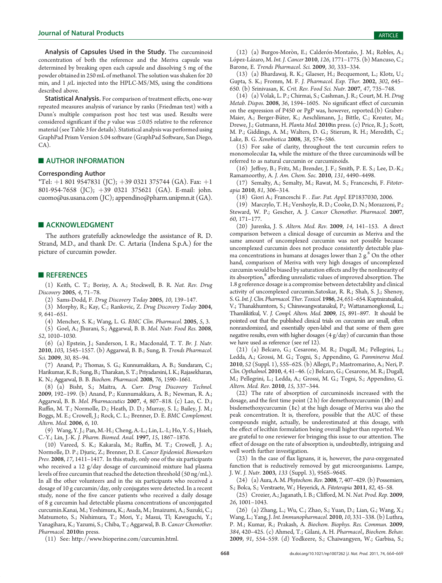Analysis of Capsules Used in the Study. The curcuminoid concentration of both the reference and the Meriva capsule was determined by breaking open each capsule and dissolving 5 mg of the powder obtained in 250 mL of methanol. The solution was shaken for 20 min, and  $1 \mu$ L injected into the HPLC-MS/MS, using the conditions described above.

Statistical Analysis. For comparison of treatment effects, one-way repeated measures analysis of variance by ranks (Friedman test) with a Dunn's multiple comparison post hoc test was used. Results were considered significant if the  $p$  value was  $\leq$  0.05 relative to the reference material (see Table 3 for details). Statistical analysis was performed using GraphPad Prism Version 5.04 software (GraphPad Software, San Diego, CA).

#### **NUTHOR INFORMATION**

#### Corresponding Author

\*Tel: +1 801 9547831 (JC); +39 0321 375744 (GA). Fax: +1 801-954-7658 (JC); +39 0321 375621 (GA). E-mail: john. cuomo@us.usana.com (JC); appendino@pharm.unipmn.it (GA).

#### **ACKNOWLEDGMENT**

The authors gratefully acknowledge the assistance of R. D. Strand, M.D., and thank Dr. C. Artaria (Indena S.p.A.) for the picture of curcumin powder.

#### **REFERENCES**

(1) Keith, C. T.; Borisy, A. A.; Stockwell, B. R. Nat. Rev. Drug Discovery 2005, 4, 71–78.

(2) Sams-Dodd, F. Drug Discovery Today 2005, 10, 139–147.

(3) Morphy, R.; Kay, C.; Rankovic, Z. Drug Discovery Today 2004, 9, 641–651.

(4) Mencher, S. K.; Wang, L. G. BMC Clin. Pharmacol. 2005, 5, 3.

(5) Goel, A.; Jhurani, S.; Aggarwal, B. B. Mol. Nutr. Food Res. 2008, 52, 1010–1030.

(6) (a) Epstein, J.; Sanderson, I. R.; Macdonald, T. T. Br. J. Nutr. 2010, 103, 1545–1557. (b) Aggarwal, B. B.; Sung, B. Trends Pharmacol. Sci. 2009, 30, 85–94.

(7) Anand, P.; Thomas, S. G.; Kunnumakkara, A. B.; Sundaram, C.; Harikumar, K. B.; Sung, B.; Tharakan, S.T.; Priyadarsini, I. K.; Rajasekharan, K. N.; Aggarwal, B. B. Biochem. Pharmacol. 2008, 76, 1590–1661.

(8) (a) Bisht, S.; Maitra, A. Curr. Drug Discovery Technol. 2009, 192–199. (b) Anand, P.; Kunnumakkara, A. B.; Newman, R. A.; Aggarwal, B. B. Mol. Pharmaceutics 2007, 4, 807–818. (c) Lao, C. D.; Ruffin, M. T.; Normolle, D.; Heath, D. D.; Murray, S. I.; Bailey, J. M.; Boggs, M. E.; Crowell, J.; Rock, C. L.; Brenner, D. E. BMC Complement. Altern. Med. 2006, 6, 10.

(9) Wang, Y. J.; Pan, M.-H.; Cheng, A.-L.; Lin, L.-I.; Ho, Y.-S.; Hsieh, C.-Y.; Lin, J.-K. J. Pharm. Biomed. Anal. 1997, 15, 1867–1876.

(10) Vareed, S. K.; Kakarala, M.; Ruffin, M. T.; Crowell, J. A.; Normolle, D. P.; Djuric, Z.; Brenner, D. E. Cancer Epidemiol. Biomarkers Prev. 2008, 17, 1411–1417. In this study, only one of the six participants who received a 12 g/day dosage of curcuminoid mixture had plasma levels of free curcumin that reached the detection threshold (50 ng/mL). In all the other volunteers and in the six participants who received a dosage of 10 g curcumin/day, only conjugates were detected. In a recent study, none of the five cancer patients who received a daily dosage of 8 g curcumin had detectable plasma concentrations of unconjugated curcumin.Kanai, M.; Yoshimura, K.; Asada, M.; Imaizumi, A.; Suzuki, C.; Matsumoto, S.; Nishimura, T.; Mori, Y.; Masui, Tl; Kawuguchi, Y.; Yanagihara, K.; Yazumi, S.; Chiba, T.; Aggarwal, B. B. Cancer Chemother. Pharmacol. 2010in press.

(12) (a) Burgos-Moròn, E.; Calderón-Montaño, J. M.; Robles, A.; López-Lázaro, M. Int. J. Cancer 2010, 126, 1771–1775. (b) Mancuso, C.; Barone, E. Trends Pharmacol. Sci. 2009, 30, 333–334.

(13) (a) Bhardawaj, R. K.; Glaeser, H.; Becquemont, L.; Klotz, U.; Gupta, S. K.; Fromm, M. F. J. Pharmacol. Exp. Ther. 2002, 302, 645– 650. (b) Srinivasan, K. Crit. Rev. Food Sci. Nutr. 2007, 47, 735–748.

(14) (a) Volak, L. P.; Chirmai, S.; Cashman, J. R.; Court, M. H. Drug Metab. Dispos. 2008, 36, 1594–1605. No significant effect of curcumin on the expression of P450 or PgP was, however, reported.(b) Graber-Maier, A.; Berger-Büter, K.; Aeschlimann, J.; Bittle, C.; Kreuter, M.; Drewe, J.; Gutmann, H. Planta Med. 2010in press. (c) Price, R. J.; Scott, M. P.; Giddings, A. M.; Walters, D. G.; Stierum, R. H.; Meredith, C.; Lake, B. G. Xenobiotica 2008, 38, 574–586.

(15) For sake of clarity, throughout the text curcumin refers to monomolecular 1a, while the mixture of the three curcuminoids will be referred to as natural curcumin or curcuminoids.

(16) Jeffrey, B.; Fritz, M.; Brender, J. F.; Smith, P. E. S.; Lee, D.-K.; Ramamoorthy, A. J. Am. Chem. Soc. 2010, 131, 4490–4498.

(17) Semalty, A.; Semalty, M.; Rawat, M. S.; Franceschi, F. Fitoterapia 2010, 81, 306–314.

(18) Giori A.; Franceschi F. . Eur. Pat. Appl. EP1837030, 2006.

(19) Marczylo, T. H.; Vershoyle, R. D.; Cooke, D. N.; Morazzoni, P.; Steward, W. P.; Gescher, A. J. Cancer Chemother. Pharmacol. 2007, 60, 171–177.

(20) Jurenka, J. S. Altern. Med. Rev. 2009, 14, 141–153. A direct comparison between a clinical dosage of curcumin as Meriva and the same amount of uncomplexed curcumin was not possible because uncomplexed curcumin does not produce consistently detectable plasma concentrations in humans at dosages lower than 2  $g$ .<sup>8</sup> On the other hand, comparison of Meriva with very high dosages of uncomplexed curcumin would be biased by saturation effects and by the nonlinearity of its absorption,<sup>8</sup> affording unrealistic values of improved absorption. The 1.8 g reference dosage is a compromise between detectability and clinical activity of uncomplexed curcumin.Satoskar, R. R.; Shah, S. J.; Shenoy, S. G.Int. J. Clin. Pharmacol. Ther. Toxicol. 1986, 24, 651–654. Kuptniratsaikul, V.; Thanakhumtorn, S.; Chinswangwatanakul, P.; Wattanamongkonsil, L.; Thamlikitkul, V. J. Compl. Altern. Med. 2009, 15, 891–897. It should be pointed out that the published clinical trials on curcumin are small, often nonrandomized, and essentially open-label and that some of them gave negative results, even with higher dosages (4 g/day) of curcumin than those we have used as reference (see ref 12).

(21) (a) Belcaro, G.; Cesarone, M. R.; Dugall, M.; Pellegrini, L.; Ledda, A.; Grossi, M. G.; Togni, S.; Appendino, G. Panminerva Med. 2010, 52 (Suppl. 1), 55S–62S. (b) Allegri, P.; Mastromarino, A.; Neri, P. Clin. Opthalmol. 2010, 4, 41–46. (c) Belcaro, G.; Cesarone, M. R.; Dugall, M.; Pellegrini, L.; Ledda, A.; Grossi, M. G.; Togni, S.; Appendino, G. Altern. Med. Rev. 2010, 15, 337–344.

(22) The rate of absorption of curcuminoids increased with the dosage, and the first time point (2 h) for demethoxycurcumin (1b) and bisdemethoxycurcumin (1c) at the high dosage of Meriva was also the peak concentration. It is, therefore, possible that the AUC of these compounds might, actually, be underestimated at this dosage, with the effect of lecithin formulation being overall higher than reported. We are grateful to one reviewer for bringing this issue to our attention. The effect of dosage on the rate of absorption is, undoubtedly, intriguing and well worth further investigation.

(23) In the case of flax lignans, it is, however, the para-oxygenated function that is reductively removed by gut microorganisms. Lampe, J. W. J. Nutr. 2003, 133 (Suppl. 3), 956S–964S.

(24) (a) Aura, A. M. Phytochem. Rev. 2008, 7, 407–429. (b) Possemiers, S.; Bolca, S.; Verstraete, W.; Heyerick, A. Fitoterapia 2011, 82, 45–58.

(25) Crozier, A.; Jaganath, I. B.; Clifford, M. N. Nat. Prod. Rep. 2009, 26, 1001–1043.

(26) (a) Zhang, L.; Wu, C.; Zhao, S.; Yuan, D.; Lian, G.; Wang, X.; Wang, L.; Yang, J. Int. Immunopharmacol. 2010, 10, 331–338. (b) Luthra, P. M.; Kumar, R.; Prakash, A. Biochem. Biophys. Res. Commun. 2009, 384, 420–425. (c) Ahmed, T.; Gilani, A. H. Pharmacol., Biochem. Behav. 2009, 91, 554–559. (d) Yodkeere, S.; Chaiwangyen, W.; Garbisa, S.;

(11) See: http://www.bioperine.com/curcumin.html.